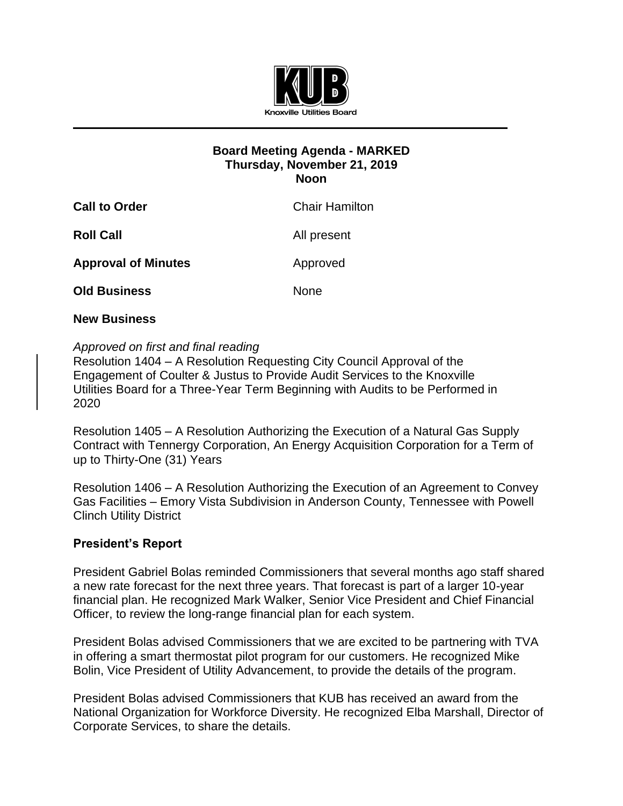

## **Board Meeting Agenda - MARKED Thursday, November 21, 2019 Noon**

| <b>Call to Order</b>       | <b>Chair Hamilton</b> |
|----------------------------|-----------------------|
| <b>Roll Call</b>           | All present           |
| <b>Approval of Minutes</b> | Approved              |
| <b>Old Business</b>        | <b>None</b>           |

## **New Business**

## *Approved on first and final reading*

Resolution 1404 – A Resolution Requesting City Council Approval of the Engagement of Coulter & Justus to Provide Audit Services to the Knoxville Utilities Board for a Three-Year Term Beginning with Audits to be Performed in 2020

Resolution 1405 – A Resolution Authorizing the Execution of a Natural Gas Supply Contract with Tennergy Corporation, An Energy Acquisition Corporation for a Term of up to Thirty-One (31) Years

Resolution 1406 – A Resolution Authorizing the Execution of an Agreement to Convey Gas Facilities – Emory Vista Subdivision in Anderson County, Tennessee with Powell Clinch Utility District

## **President's Report**

President Gabriel Bolas reminded Commissioners that several months ago staff shared a new rate forecast for the next three years. That forecast is part of a larger 10-year financial plan. He recognized Mark Walker, Senior Vice President and Chief Financial Officer, to review the long-range financial plan for each system.

President Bolas advised Commissioners that we are excited to be partnering with TVA in offering a smart thermostat pilot program for our customers. He recognized Mike Bolin, Vice President of Utility Advancement, to provide the details of the program.

President Bolas advised Commissioners that KUB has received an award from the National Organization for Workforce Diversity. He recognized Elba Marshall, Director of Corporate Services, to share the details.